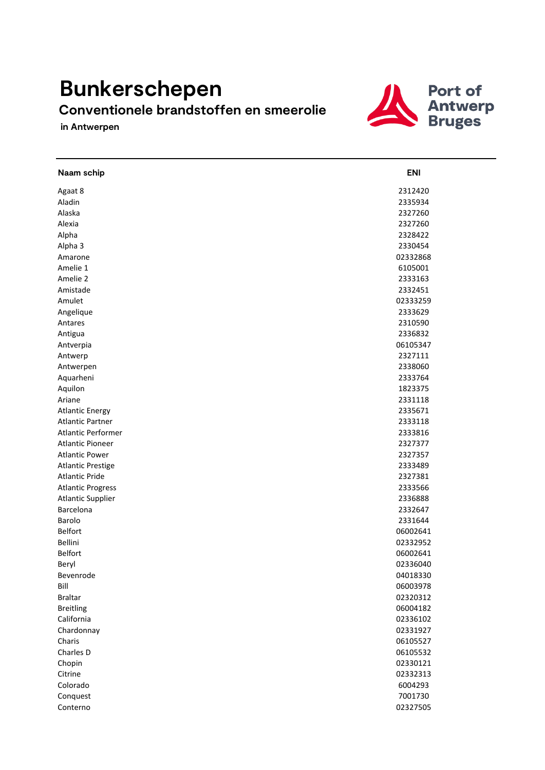## **Bunkerschepen**

## **Conventionele brandstoffen en smeerolie**

 **in Antwerpen**



| Naam schip                | <b>ENI</b> |
|---------------------------|------------|
| Agaat 8                   | 2312420    |
| Aladin                    | 2335934    |
| Alaska                    | 2327260    |
| Alexia                    | 2327260    |
| Alpha                     | 2328422    |
| Alpha 3                   | 2330454    |
| Amarone                   | 02332868   |
| Amelie 1                  | 6105001    |
| Amelie 2                  | 2333163    |
| Amistade                  | 2332451    |
| Amulet                    | 02333259   |
| Angelique                 | 2333629    |
| Antares                   | 2310590    |
| Antigua                   | 2336832    |
| Antverpia                 | 06105347   |
| Antwerp                   | 2327111    |
| Antwerpen                 | 2338060    |
| Aquarheni                 | 2333764    |
| Aquilon                   | 1823375    |
| Ariane                    | 2331118    |
| <b>Atlantic Energy</b>    | 2335671    |
| <b>Atlantic Partner</b>   | 2333118    |
| <b>Atlantic Performer</b> | 2333816    |
| <b>Atlantic Pioneer</b>   | 2327377    |
| <b>Atlantic Power</b>     | 2327357    |
| <b>Atlantic Prestige</b>  | 2333489    |
| <b>Atlantic Pride</b>     | 2327381    |
| <b>Atlantic Progress</b>  | 2333566    |
| <b>Atlantic Supplier</b>  | 2336888    |
| Barcelona                 | 2332647    |
| Barolo                    | 2331644    |
| <b>Belfort</b>            | 06002641   |
| Bellini                   | 02332952   |
| Belfort                   | 06002641   |
| Beryl                     | 02336040   |
| Bevenrode                 | 04018330   |
| Bill                      | 06003978   |
| <b>Braltar</b>            | 02320312   |
| <b>Breitling</b>          | 06004182   |
| California                | 02336102   |
| Chardonnay                | 02331927   |
| Charis                    | 06105527   |
| Charles D                 | 06105532   |
| Chopin                    | 02330121   |
| Citrine                   | 02332313   |
| Colorado                  | 6004293    |
| Conquest                  | 7001730    |
| Conterno                  | 02327505   |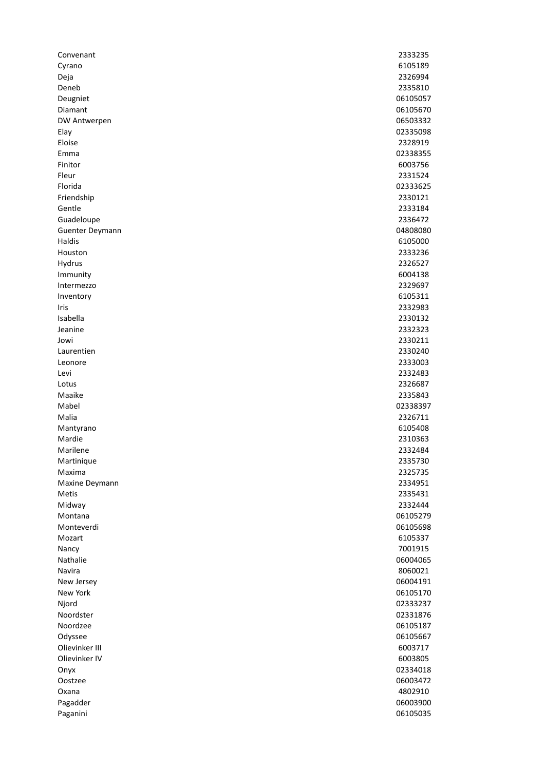| Convenant          | 2333235  |
|--------------------|----------|
| Cyrano             | 6105189  |
| Deja               | 2326994  |
| Deneb              | 2335810  |
| Deugniet           | 06105057 |
| Diamant            | 06105670 |
| DW Antwerpen       | 06503332 |
| Elay               | 02335098 |
| Eloise             | 2328919  |
| Emma               | 02338355 |
| Finitor            | 6003756  |
| Fleur              | 2331524  |
| Florida            | 02333625 |
| Friendship         | 2330121  |
| Gentle             | 2333184  |
| Guadeloupe         | 2336472  |
| Guenter Deymann    | 04808080 |
| <b>Haldis</b>      | 6105000  |
| Houston            | 2333236  |
| Hydrus             | 2326527  |
| Immunity           | 6004138  |
| Intermezzo         | 2329697  |
| Inventory          | 6105311  |
| Iris               | 2332983  |
| Isabella           | 2330132  |
| Jeanine            | 2332323  |
| Jowi               | 2330211  |
| Laurentien         | 2330240  |
| Leonore            | 2333003  |
| Levi               | 2332483  |
| Lotus              | 2326687  |
| Maaike             | 2335843  |
| Mabel              | 02338397 |
| Malia              | 2326711  |
| Mantyrano          | 6105408  |
| Mardie             | 2310363  |
| Marilene           | 2332484  |
| Martinique         | 2335730  |
| Maxima             | 2325735  |
| Maxine Deymann     | 2334951  |
| Metis              | 2335431  |
| Midway             | 2332444  |
| Montana            | 06105279 |
| Monteverdi         | 06105698 |
| Mozart             | 6105337  |
| Nancy              | 7001915  |
| Nathalie           | 06004065 |
| Navira             | 8060021  |
| New Jersey         | 06004191 |
| New York           | 06105170 |
|                    | 02333237 |
| Njord<br>Noordster | 02331876 |
| Noordzee           |          |
|                    | 06105187 |
| Odyssee            | 06105667 |
| Olievinker III     | 6003717  |
| Olievinker IV      | 6003805  |
| Onyx               | 02334018 |
| Oostzee            | 06003472 |
| Oxana              | 4802910  |
| Pagadder           | 06003900 |
| Paganini           | 06105035 |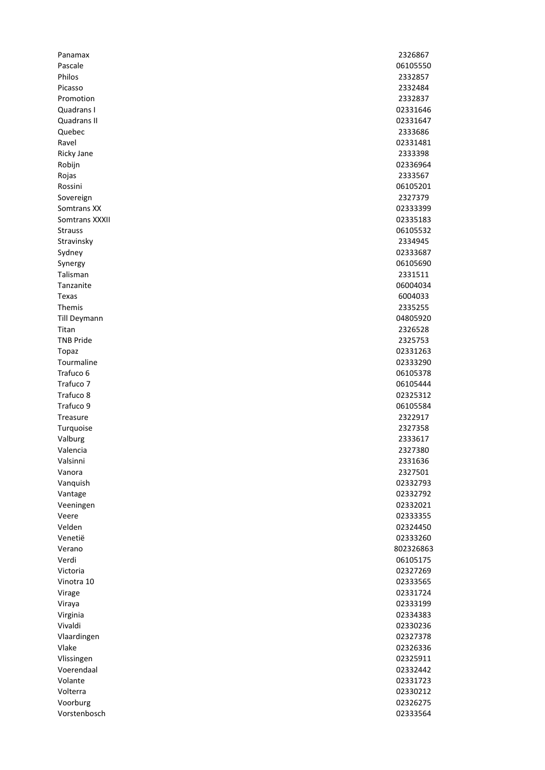| Panamax          | 2326867   |
|------------------|-----------|
| Pascale          | 06105550  |
| Philos           | 2332857   |
| Picasso          | 2332484   |
| Promotion        | 2332837   |
| Quadrans I       | 02331646  |
| Quadrans II      | 02331647  |
| Quebec           | 2333686   |
| Ravel            | 02331481  |
| Ricky Jane       | 2333398   |
| Robijn           | 02336964  |
| Rojas            | 2333567   |
| Rossini          | 06105201  |
| Sovereign        | 2327379   |
| Somtrans XX      | 02333399  |
| Somtrans XXXII   | 02335183  |
| <b>Strauss</b>   | 06105532  |
| Stravinsky       | 2334945   |
| Sydney           | 02333687  |
| Synergy          | 06105690  |
| Talisman         | 2331511   |
| Tanzanite        | 06004034  |
| Texas            | 6004033   |
| Themis           | 2335255   |
| Till Deymann     | 04805920  |
| Titan            | 2326528   |
| <b>TNB Pride</b> | 2325753   |
| Topaz            | 02331263  |
| Tourmaline       | 02333290  |
| Trafuco 6        | 06105378  |
| Trafuco 7        | 06105444  |
| Trafuco 8        | 02325312  |
| Trafuco 9        | 06105584  |
| Treasure         | 2322917   |
| Turquoise        | 2327358   |
| Valburg          | 2333617   |
| Valencia         | 2327380   |
| Valsinni         | 2331636   |
| Vanora           | 2327501   |
| Vanquish         | 02332793  |
| Vantage          | 02332792  |
| Veeningen        | 02332021  |
| Veere            | 02333355  |
| Velden           | 02324450  |
| Venetië          | 02333260  |
| Verano           | 802326863 |
| Verdi            | 06105175  |
| Victoria         | 02327269  |
| Vinotra 10       | 02333565  |
| Virage           | 02331724  |
| Viraya           | 02333199  |
| Virginia         | 02334383  |
| Vivaldi          | 02330236  |
| Vlaardingen      | 02327378  |
| Vlake            | 02326336  |
| Vlissingen       | 02325911  |
| Voerendaal       | 02332442  |
| Volante          | 02331723  |
| Volterra         | 02330212  |
| Voorburg         | 02326275  |
| Vorstenbosch     | 02333564  |